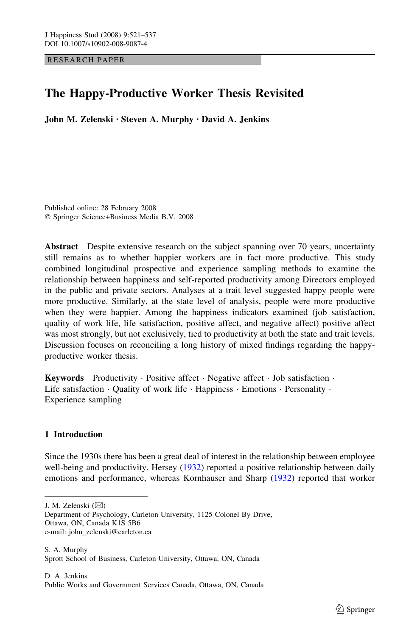RESEARCH PAPER

# The Happy-Productive Worker Thesis Revisited

John M. Zelenski · Steven A. Murphy · David A. Jenkins

Published online: 28 February 2008 Springer Science+Business Media B.V. 2008

Abstract Despite extensive research on the subject spanning over 70 years, uncertainty still remains as to whether happier workers are in fact more productive. This study combined longitudinal prospective and experience sampling methods to examine the relationship between happiness and self-reported productivity among Directors employed in the public and private sectors. Analyses at a trait level suggested happy people were more productive. Similarly, at the state level of analysis, people were more productive when they were happier. Among the happiness indicators examined (job satisfaction, quality of work life, life satisfaction, positive affect, and negative affect) positive affect was most strongly, but not exclusively, tied to productivity at both the state and trait levels. Discussion focuses on reconciling a long history of mixed findings regarding the happyproductive worker thesis.

Keywords Productivity  $\cdot$  Positive affect  $\cdot$  Negative affect  $\cdot$  Job satisfaction  $\cdot$ Life satisfaction  $\cdot$  Quality of work life  $\cdot$  Happiness  $\cdot$  Emotions  $\cdot$  Personality  $\cdot$ Experience sampling

## 1 Introduction

Since the 1930s there has been a great deal of interest in the relationship between employee well-being and productivity. Hersey ([1932](#page-15-0)) reported a positive relationship between daily emotions and performance, whereas Kornhauser and Sharp [\(1932](#page-15-0)) reported that worker

J. M. Zelenski (&)

Department of Psychology, Carleton University, 1125 Colonel By Drive, Ottawa, ON, Canada K1S 5B6 e-mail: john\_zelenski@carleton.ca

S. A. Murphy Sprott School of Business, Carleton University, Ottawa, ON, Canada

D. A. Jenkins Public Works and Government Services Canada, Ottawa, ON, Canada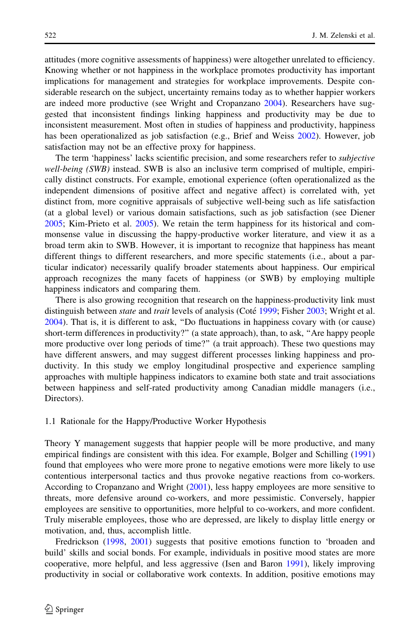attitudes (more cognitive assessments of happiness) were altogether unrelated to efficiency. Knowing whether or not happiness in the workplace promotes productivity has important implications for management and strategies for workplace improvements. Despite considerable research on the subject, uncertainty remains today as to whether happier workers are indeed more productive (see Wright and Cropanzano [2004](#page-16-0)). Researchers have suggested that inconsistent findings linking happiness and productivity may be due to inconsistent measurement. Most often in studies of happiness and productivity, happiness has been operationalized as job satisfaction (e.g., Brief and Weiss [2002\)](#page-14-0). However, job satisfaction may not be an effective proxy for happiness.

The term 'happiness' lacks scientific precision, and some researchers refer to subjective well-being (SWB) instead. SWB is also an inclusive term comprised of multiple, empirically distinct constructs. For example, emotional experience (often operationalized as the independent dimensions of positive affect and negative affect) is correlated with, yet distinct from, more cognitive appraisals of subjective well-being such as life satisfaction (at a global level) or various domain satisfactions, such as job satisfaction (see Diener [2005;](#page-14-0) Kim-Prieto et al. [2005\)](#page-15-0). We retain the term happiness for its historical and commonsense value in discussing the happy-productive worker literature, and view it as a broad term akin to SWB. However, it is important to recognize that happiness has meant different things to different researchers, and more specific statements (i.e., about a particular indicator) necessarily qualify broader statements about happiness. Our empirical approach recognizes the many facets of happiness (or SWB) by employing multiple happiness indicators and comparing them.

There is also growing recognition that research on the happiness-productivity link must distinguish between *state* and *trait* levels of analysis (Coté [1999;](#page-14-0) Fisher [2003;](#page-15-0) Wright et al. [2004\)](#page-16-0). That is, it is different to ask, ''Do fluctuations in happiness covary with (or cause) short-term differences in productivity?" (a state approach), than, to ask, "Are happy people more productive over long periods of time?'' (a trait approach). These two questions may have different answers, and may suggest different processes linking happiness and productivity. In this study we employ longitudinal prospective and experience sampling approaches with multiple happiness indicators to examine both state and trait associations between happiness and self-rated productivity among Canadian middle managers (i.e., Directors).

#### 1.1 Rationale for the Happy/Productive Worker Hypothesis

Theory Y management suggests that happier people will be more productive, and many empirical findings are consistent with this idea. For example, Bolger and Schilling ([1991](#page-14-0)) found that employees who were more prone to negative emotions were more likely to use contentious interpersonal tactics and thus provoke negative reactions from co-workers. According to Cropanzano and Wright [\(2001](#page-14-0)), less happy employees are more sensitive to threats, more defensive around co-workers, and more pessimistic. Conversely, happier employees are sensitive to opportunities, more helpful to co-workers, and more confident. Truly miserable employees, those who are depressed, are likely to display little energy or motivation, and, thus, accomplish little.

Fredrickson ([1998,](#page-15-0) [2001\)](#page-15-0) suggests that positive emotions function to 'broaden and build' skills and social bonds. For example, individuals in positive mood states are more cooperative, more helpful, and less aggressive (Isen and Baron [1991](#page-15-0)), likely improving productivity in social or collaborative work contexts. In addition, positive emotions may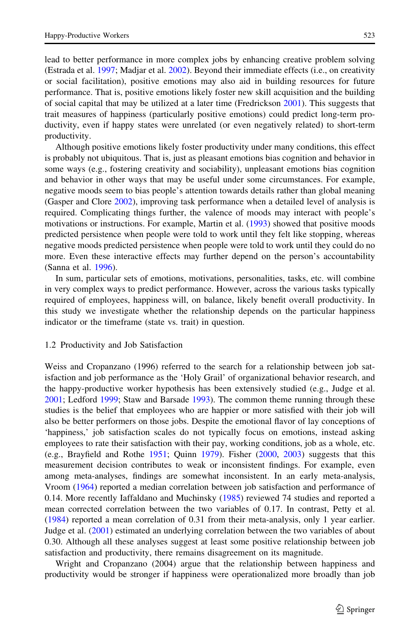lead to better performance in more complex jobs by enhancing creative problem solving (Estrada et al. [1997;](#page-15-0) Madjar et al. [2002](#page-15-0)). Beyond their immediate effects (i.e., on creativity or social facilitation), positive emotions may also aid in building resources for future performance. That is, positive emotions likely foster new skill acquisition and the building of social capital that may be utilized at a later time (Fredrickson [2001\)](#page-15-0). This suggests that trait measures of happiness (particularly positive emotions) could predict long-term productivity, even if happy states were unrelated (or even negatively related) to short-term productivity.

Although positive emotions likely foster productivity under many conditions, this effect is probably not ubiquitous. That is, just as pleasant emotions bias cognition and behavior in some ways (e.g., fostering creativity and sociability), unpleasant emotions bias cognition and behavior in other ways that may be useful under some circumstances. For example, negative moods seem to bias people's attention towards details rather than global meaning (Gasper and Clore [2002\)](#page-15-0), improving task performance when a detailed level of analysis is required. Complicating things further, the valence of moods may interact with people's motivations or instructions. For example, Martin et al. [\(1993\)](#page-15-0) showed that positive moods predicted persistence when people were told to work until they felt like stopping, whereas negative moods predicted persistence when people were told to work until they could do no more. Even these interactive effects may further depend on the person's accountability (Sanna et al. [1996\)](#page-16-0).

In sum, particular sets of emotions, motivations, personalities, tasks, etc. will combine in very complex ways to predict performance. However, across the various tasks typically required of employees, happiness will, on balance, likely benefit overall productivity. In this study we investigate whether the relationship depends on the particular happiness indicator or the timeframe (state vs. trait) in question.

#### 1.2 Productivity and Job Satisfaction

Weiss and Cropanzano (1996) referred to the search for a relationship between job satisfaction and job performance as the 'Holy Grail' of organizational behavior research, and the happy-productive worker hypothesis has been extensively studied (e.g., Judge et al. [2001;](#page-15-0) Ledford [1999;](#page-15-0) Staw and Barsade [1993\)](#page-16-0). The common theme running through these studies is the belief that employees who are happier or more satisfied with their job will also be better performers on those jobs. Despite the emotional flavor of lay conceptions of 'happiness,' job satisfaction scales do not typically focus on emotions, instead asking employees to rate their satisfaction with their pay, working conditions, job as a whole, etc. (e.g., Brayfield and Rothe [1951;](#page-14-0) Quinn [1979](#page-16-0)). Fisher ([2000,](#page-15-0) [2003\)](#page-15-0) suggests that this measurement decision contributes to weak or inconsistent findings. For example, even among meta-analyses, findings are somewhat inconsistent. In an early meta-analysis, Vroom ([1964\)](#page-16-0) reported a median correlation between job satisfaction and performance of 0.14. More recently Iaffaldano and Muchinsky ([1985\)](#page-15-0) reviewed 74 studies and reported a mean corrected correlation between the two variables of 0.17. In contrast, Petty et al. ([1984\)](#page-16-0) reported a mean correlation of 0.31 from their meta-analysis, only 1 year earlier. Judge et al. [\(2001\)](#page-15-0) estimated an underlying correlation between the two variables of about 0.30. Although all these analyses suggest at least some positive relationship between job satisfaction and productivity, there remains disagreement on its magnitude.

Wright and Cropanzano (2004) argue that the relationship between happiness and productivity would be stronger if happiness were operationalized more broadly than job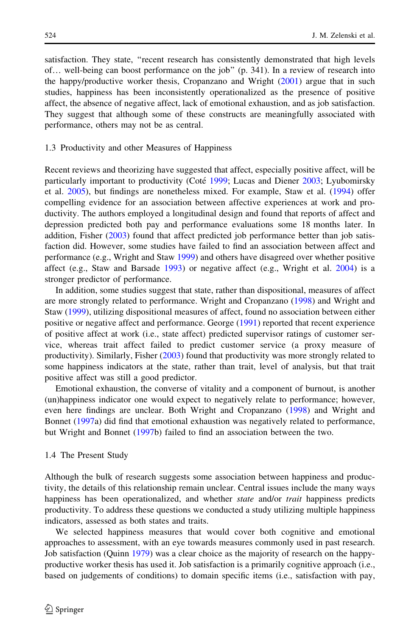satisfaction. They state, ''recent research has consistently demonstrated that high levels of… well-being can boost performance on the job'' (p. 341). In a review of research into the happy/productive worker thesis, Cropanzano and Wright ([2001\)](#page-14-0) argue that in such studies, happiness has been inconsistently operationalized as the presence of positive affect, the absence of negative affect, lack of emotional exhaustion, and as job satisfaction. They suggest that although some of these constructs are meaningfully associated with performance, others may not be as central.

#### 1.3 Productivity and other Measures of Happiness

Recent reviews and theorizing have suggested that affect, especially positive affect, will be particularly important to productivity (Coté [1999](#page-14-0); Lucas and Diener [2003;](#page-15-0) Lyubomirsky et al. [2005\)](#page-15-0), but findings are nonetheless mixed. For example, Staw et al. [\(1994](#page-16-0)) offer compelling evidence for an association between affective experiences at work and productivity. The authors employed a longitudinal design and found that reports of affect and depression predicted both pay and performance evaluations some 18 months later. In addition, Fisher ([2003\)](#page-15-0) found that affect predicted job performance better than job satisfaction did. However, some studies have failed to find an association between affect and performance (e.g., Wright and Staw [1999](#page-16-0)) and others have disagreed over whether positive affect (e.g., Staw and Barsade [1993\)](#page-16-0) or negative affect (e.g., Wright et al. [2004](#page-16-0)) is a stronger predictor of performance.

In addition, some studies suggest that state, rather than dispositional, measures of affect are more strongly related to performance. Wright and Cropanzano ([1998\)](#page-16-0) and Wright and Staw [\(1999](#page-16-0)), utilizing dispositional measures of affect, found no association between either positive or negative affect and performance. George ([1991](#page-15-0)) reported that recent experience of positive affect at work (i.e., state affect) predicted supervisor ratings of customer service, whereas trait affect failed to predict customer service (a proxy measure of productivity). Similarly, Fisher [\(2003](#page-15-0)) found that productivity was more strongly related to some happiness indicators at the state, rather than trait, level of analysis, but that trait positive affect was still a good predictor.

Emotional exhaustion, the converse of vitality and a component of burnout, is another (un)happiness indicator one would expect to negatively relate to performance; however, even here findings are unclear. Both Wright and Cropanzano ([1998](#page-16-0)) and Wright and Bonnet [\(1997](#page-16-0)a) did find that emotional exhaustion was negatively related to performance, but Wright and Bonnet ([1997b](#page-16-0)) failed to find an association between the two.

#### 1.4 The Present Study

Although the bulk of research suggests some association between happiness and productivity, the details of this relationship remain unclear. Central issues include the many ways happiness has been operationalized, and whether *state* and/or *trait* happiness predicts productivity. To address these questions we conducted a study utilizing multiple happiness indicators, assessed as both states and traits.

We selected happiness measures that would cover both cognitive and emotional approaches to assessment, with an eye towards measures commonly used in past research. Job satisfaction (Quinn [1979\)](#page-16-0) was a clear choice as the majority of research on the happyproductive worker thesis has used it. Job satisfaction is a primarily cognitive approach (i.e., based on judgements of conditions) to domain specific items (i.e., satisfaction with pay,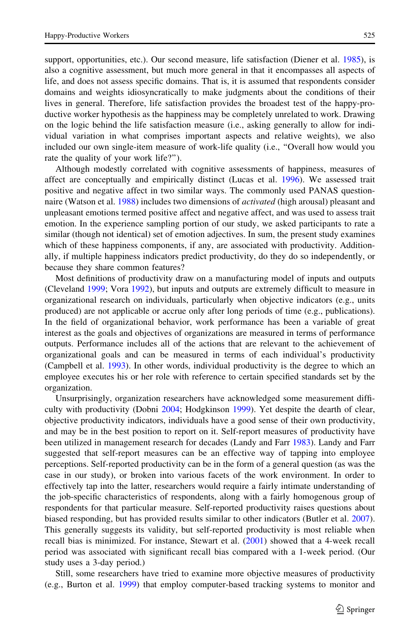support, opportunities, etc.). Our second measure, life satisfaction (Diener et al. [1985\)](#page-14-0), is also a cognitive assessment, but much more general in that it encompasses all aspects of life, and does not assess specific domains. That is, it is assumed that respondents consider domains and weights idiosyncratically to make judgments about the conditions of their lives in general. Therefore, life satisfaction provides the broadest test of the happy-productive worker hypothesis as the happiness may be completely unrelated to work. Drawing on the logic behind the life satisfaction measure (i.e., asking generally to allow for individual variation in what comprises important aspects and relative weights), we also included our own single-item measure of work-life quality (i.e., "Overall how would you rate the quality of your work life?'').

Although modestly correlated with cognitive assessments of happiness, measures of affect are conceptually and empirically distinct (Lucas et al. [1996\)](#page-15-0). We assessed trait positive and negative affect in two similar ways. The commonly used PANAS question-naire (Watson et al. [1988](#page-16-0)) includes two dimensions of *activated* (high arousal) pleasant and unpleasant emotions termed positive affect and negative affect, and was used to assess trait emotion. In the experience sampling portion of our study, we asked participants to rate a similar (though not identical) set of emotion adjectives. In sum, the present study examines which of these happiness components, if any, are associated with productivity. Additionally, if multiple happiness indicators predict productivity, do they do so independently, or because they share common features?

Most definitions of productivity draw on a manufacturing model of inputs and outputs (Cleveland [1999](#page-14-0); Vora [1992](#page-16-0)), but inputs and outputs are extremely difficult to measure in organizational research on individuals, particularly when objective indicators (e.g., units produced) are not applicable or accrue only after long periods of time (e.g., publications). In the field of organizational behavior, work performance has been a variable of great interest as the goals and objectives of organizations are measured in terms of performance outputs. Performance includes all of the actions that are relevant to the achievement of organizational goals and can be measured in terms of each individual's productivity (Campbell et al. [1993\)](#page-14-0). In other words, individual productivity is the degree to which an employee executes his or her role with reference to certain specified standards set by the organization.

Unsurprisingly, organization researchers have acknowledged some measurement difficulty with productivity (Dobni [2004](#page-15-0); Hodgkinson [1999](#page-15-0)). Yet despite the dearth of clear, objective productivity indicators, individuals have a good sense of their own productivity, and may be in the best position to report on it. Self-report measures of productivity have been utilized in management research for decades (Landy and Farr [1983](#page-15-0)). Landy and Farr suggested that self-report measures can be an effective way of tapping into employee perceptions. Self-reported productivity can be in the form of a general question (as was the case in our study), or broken into various facets of the work environment. In order to effectively tap into the latter, researchers would require a fairly intimate understanding of the job-specific characteristics of respondents, along with a fairly homogenous group of respondents for that particular measure. Self-reported productivity raises questions about biased responding, but has provided results similar to other indicators (Butler et al. [2007](#page-14-0)). This generally suggests its validity, but self-reported productivity is most reliable when recall bias is minimized. For instance, Stewart et al. [\(2001](#page-16-0)) showed that a 4-week recall period was associated with significant recall bias compared with a 1-week period. (Our study uses a 3-day period.)

Still, some researchers have tried to examine more objective measures of productivity (e.g., Burton et al. [1999\)](#page-14-0) that employ computer-based tracking systems to monitor and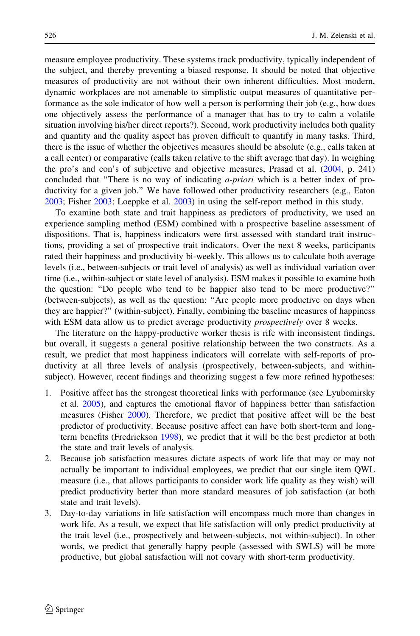measure employee productivity. These systems track productivity, typically independent of the subject, and thereby preventing a biased response. It should be noted that objective measures of productivity are not without their own inherent difficulties. Most modern, dynamic workplaces are not amenable to simplistic output measures of quantitative performance as the sole indicator of how well a person is performing their job (e.g., how does one objectively assess the performance of a manager that has to try to calm a volatile situation involving his/her direct reports?). Second, work productivity includes both quality and quantity and the quality aspect has proven difficult to quantify in many tasks. Third, there is the issue of whether the objectives measures should be absolute (e.g., calls taken at a call center) or comparative (calls taken relative to the shift average that day). In weighing the pro's and con's of subjective and objective measures, Prasad et al. ([2004,](#page-16-0) p. 241) concluded that "There is no way of indicating *a-priori* which is a better index of productivity for a given job.'' We have followed other productivity researchers (e.g., Eaton [2003;](#page-15-0) Fisher [2003](#page-15-0); Loeppke et al. [2003\)](#page-15-0) in using the self-report method in this study.

To examine both state and trait happiness as predictors of productivity, we used an experience sampling method (ESM) combined with a prospective baseline assessment of dispositions. That is, happiness indicators were first assessed with standard trait instructions, providing a set of prospective trait indicators. Over the next 8 weeks, participants rated their happiness and productivity bi-weekly. This allows us to calculate both average levels (i.e., between-subjects or trait level of analysis) as well as individual variation over time (i.e., within-subject or state level of analysis). ESM makes it possible to examine both the question: ''Do people who tend to be happier also tend to be more productive?'' (between-subjects), as well as the question: ''Are people more productive on days when they are happier?'' (within-subject). Finally, combining the baseline measures of happiness with ESM data allow us to predict average productivity *prospectively* over 8 weeks.

The literature on the happy-productive worker thesis is rife with inconsistent findings, but overall, it suggests a general positive relationship between the two constructs. As a result, we predict that most happiness indicators will correlate with self-reports of productivity at all three levels of analysis (prospectively, between-subjects, and withinsubject). However, recent findings and theorizing suggest a few more refined hypotheses:

- 1. Positive affect has the strongest theoretical links with performance (see Lyubomirsky et al. [2005](#page-15-0)), and captures the emotional flavor of happiness better than satisfaction measures (Fisher [2000](#page-15-0)). Therefore, we predict that positive affect will be the best predictor of productivity. Because positive affect can have both short-term and longterm benefits (Fredrickson [1998\)](#page-15-0), we predict that it will be the best predictor at both the state and trait levels of analysis.
- 2. Because job satisfaction measures dictate aspects of work life that may or may not actually be important to individual employees, we predict that our single item QWL measure (i.e., that allows participants to consider work life quality as they wish) will predict productivity better than more standard measures of job satisfaction (at both state and trait levels).
- 3. Day-to-day variations in life satisfaction will encompass much more than changes in work life. As a result, we expect that life satisfaction will only predict productivity at the trait level (i.e., prospectively and between-subjects, not within-subject). In other words, we predict that generally happy people (assessed with SWLS) will be more productive, but global satisfaction will not covary with short-term productivity.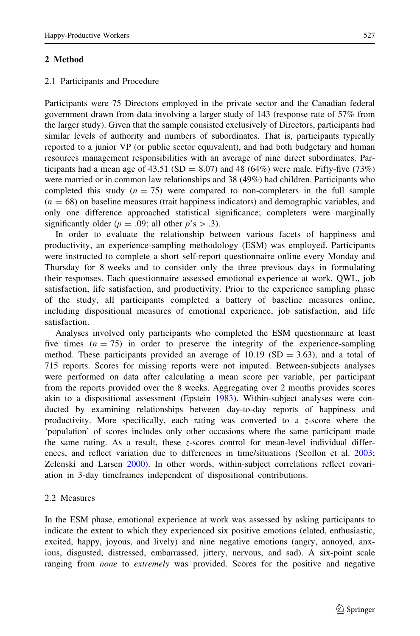### 2 Method

## 2.1 Participants and Procedure

Participants were 75 Directors employed in the private sector and the Canadian federal government drawn from data involving a larger study of 143 (response rate of 57% from the larger study). Given that the sample consisted exclusively of Directors, participants had similar levels of authority and numbers of subordinates. That is, participants typically reported to a junior VP (or public sector equivalent), and had both budgetary and human resources management responsibilities with an average of nine direct subordinates. Participants had a mean age of  $43.51$  (SD =  $8.07$ ) and  $48$  (64%) were male. Fifty-five (73%) were married or in common law relationships and 38 (49%) had children. Participants who completed this study  $(n = 75)$  were compared to non-completers in the full sample  $(n = 68)$  on baseline measures (trait happiness indicators) and demographic variables, and only one difference approached statistical significance; completers were marginally significantly older ( $p = .09$ ; all other  $p's > .3$ ).

In order to evaluate the relationship between various facets of happiness and productivity, an experience-sampling methodology (ESM) was employed. Participants were instructed to complete a short self-report questionnaire online every Monday and Thursday for 8 weeks and to consider only the three previous days in formulating their responses. Each questionnaire assessed emotional experience at work, QWL, job satisfaction, life satisfaction, and productivity. Prior to the experience sampling phase of the study, all participants completed a battery of baseline measures online, including dispositional measures of emotional experience, job satisfaction, and life satisfaction.

Analyses involved only participants who completed the ESM questionnaire at least five times  $(n = 75)$  in order to preserve the integrity of the experience-sampling method. These participants provided an average of  $10.19$  (SD = 3.63), and a total of 715 reports. Scores for missing reports were not imputed. Between-subjects analyses were performed on data after calculating a mean score per variable, per participant from the reports provided over the 8 weeks. Aggregating over 2 months provides scores akin to a dispositional assessment (Epstein [1983](#page-15-0)). Within-subject analyses were conducted by examining relationships between day-to-day reports of happiness and productivity. More specifically, each rating was converted to a z-score where the 'population' of scores includes only other occasions where the same participant made the same rating. As a result, these z-scores control for mean-level individual differences, and reflect variation due to differences in time/situations (Scollon et al. [2003;](#page-16-0) Zelenski and Larsen [2000\)](#page-16-0). In other words, within-subject correlations reflect covariation in 3-day timeframes independent of dispositional contributions.

## 2.2 Measures

In the ESM phase, emotional experience at work was assessed by asking participants to indicate the extent to which they experienced six positive emotions (elated, enthusiastic, excited, happy, joyous, and lively) and nine negative emotions (angry, annoyed, anxious, disgusted, distressed, embarrassed, jittery, nervous, and sad). A six-point scale ranging from *none* to extremely was provided. Scores for the positive and negative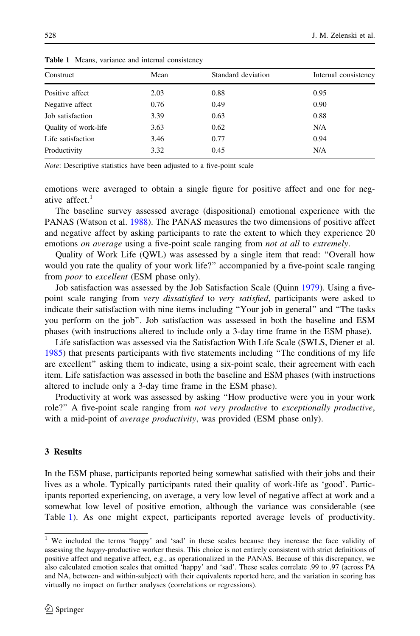| Construct            | Mean | Standard deviation | Internal consistency |  |
|----------------------|------|--------------------|----------------------|--|
| Positive affect      | 2.03 | 0.88               | 0.95                 |  |
| Negative affect      | 0.76 | 0.49               | 0.90                 |  |
| Job satisfaction     | 3.39 | 0.63               | 0.88                 |  |
| Quality of work-life | 3.63 | 0.62               | N/A                  |  |
| Life satisfaction    | 3.46 | 0.77               | 0.94                 |  |
| Productivity         | 3.32 | 0.45               | N/A                  |  |
|                      |      |                    |                      |  |

Table 1 Means, variance and internal consistency

Note: Descriptive statistics have been adjusted to a five-point scale

emotions were averaged to obtain a single figure for positive affect and one for negative affect. $<sup>1</sup>$ </sup>

The baseline survey assessed average (dispositional) emotional experience with the PANAS (Watson et al. [1988\)](#page-16-0). The PANAS measures the two dimensions of positive affect and negative affect by asking participants to rate the extent to which they experience 20 emotions on average using a five-point scale ranging from not at all to extremely.

Quality of Work Life (QWL) was assessed by a single item that read: ''Overall how would you rate the quality of your work life?'' accompanied by a five-point scale ranging from *poor* to excellent (ESM phase only).

Job satisfaction was assessed by the Job Satisfaction Scale (Quinn [1979\)](#page-16-0). Using a fivepoint scale ranging from very dissatisfied to very satisfied, participants were asked to indicate their satisfaction with nine items including ''Your job in general'' and ''The tasks you perform on the job''. Job satisfaction was assessed in both the baseline and ESM phases (with instructions altered to include only a 3-day time frame in the ESM phase).

Life satisfaction was assessed via the Satisfaction With Life Scale (SWLS, Diener et al. [1985\)](#page-14-0) that presents participants with five statements including ''The conditions of my life are excellent'' asking them to indicate, using a six-point scale, their agreement with each item. Life satisfaction was assessed in both the baseline and ESM phases (with instructions altered to include only a 3-day time frame in the ESM phase).

Productivity at work was assessed by asking ''How productive were you in your work role?" A five-point scale ranging from *not very productive* to *exceptionally productive*, with a mid-point of *average productivity*, was provided (ESM phase only).

## 3 Results

In the ESM phase, participants reported being somewhat satisfied with their jobs and their lives as a whole. Typically participants rated their quality of work-life as 'good'. Participants reported experiencing, on average, a very low level of negative affect at work and a somewhat low level of positive emotion, although the variance was considerable (see Table 1). As one might expect, participants reported average levels of productivity.

<sup>&</sup>lt;sup>1</sup> We included the terms 'happy' and 'sad' in these scales because they increase the face validity of assessing the happy-productive worker thesis. This choice is not entirely consistent with strict definitions of positive affect and negative affect, e.g., as operationalized in the PANAS. Because of this discrepancy, we also calculated emotion scales that omitted 'happy' and 'sad'. These scales correlate .99 to .97 (across PA and NA, between- and within-subject) with their equivalents reported here, and the variation in scoring has virtually no impact on further analyses (correlations or regressions).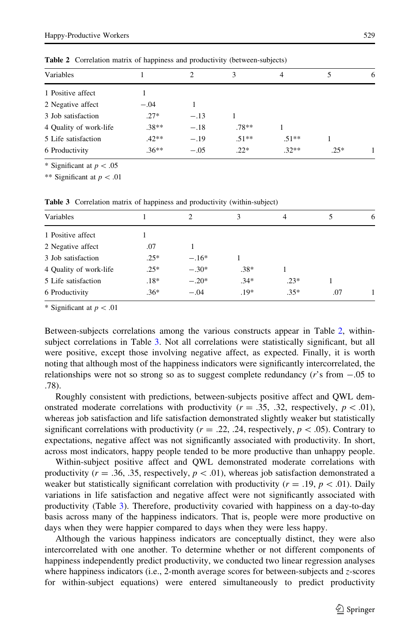| Variables              |         |        | 3       | 4       |        | 6 |
|------------------------|---------|--------|---------|---------|--------|---|
| 1 Positive affect      |         |        |         |         |        |   |
| 2 Negative affect      | $-.04$  |        |         |         |        |   |
| 3 Job satisfaction     | $.27*$  | $-.13$ |         |         |        |   |
| 4 Quality of work-life | $.38**$ | $-.18$ | $.78**$ |         |        |   |
| 5 Life satisfaction    | $.42**$ | $-.19$ | $.51**$ | $.51**$ |        |   |
| 6 Productivity         | $.36**$ | $-.05$ | $.22*$  | $.32**$ | $.25*$ |   |

Table 2 Correlation matrix of happiness and productivity (between-subjects)

\* Significant at  $p < .05$ 

\*\* Significant at  $p < 0.01$ 

| Variables              |        |         | 3      | 4      |     | 6 |  |  |
|------------------------|--------|---------|--------|--------|-----|---|--|--|
| 1 Positive affect      |        |         |        |        |     |   |  |  |
| 2 Negative affect      | .07    |         |        |        |     |   |  |  |
| 3 Job satisfaction     | $.25*$ | $-.16*$ |        |        |     |   |  |  |
| 4 Quality of work-life | $.25*$ | $-.30*$ | $.38*$ |        |     |   |  |  |
| 5 Life satisfaction    | $.18*$ | $-.20*$ | $.34*$ | $.23*$ |     |   |  |  |
| 6 Productivity         | $.36*$ | $-.04$  | $.19*$ | $.35*$ | .07 |   |  |  |

Table 3 Correlation matrix of happiness and productivity (within-subject)

\* Significant at  $p < 0.01$ 

Between-subjects correlations among the various constructs appear in Table 2, withinsubject correlations in Table 3. Not all correlations were statistically significant, but all were positive, except those involving negative affect, as expected. Finally, it is worth noting that although most of the happiness indicators were significantly intercorrelated, the relationships were not so strong so as to suggest complete redundancy ( $r$ 's from  $-.05$  to .78).

Roughly consistent with predictions, between-subjects positive affect and QWL demonstrated moderate correlations with productivity ( $r = .35, .32,$  respectively,  $p < .01$ ), whereas job satisfaction and life satisfaction demonstrated slightly weaker but statistically significant correlations with productivity ( $r = .22, .24$ , respectively,  $p < .05$ ). Contrary to expectations, negative affect was not significantly associated with productivity. In short, across most indicators, happy people tended to be more productive than unhappy people.

Within-subject positive affect and QWL demonstrated moderate correlations with productivity ( $r = .36, .35$ , respectively,  $p < .01$ ), whereas job satisfaction demonstrated a weaker but statistically significant correlation with productivity ( $r = .19$ ,  $p < .01$ ). Daily variations in life satisfaction and negative affect were not significantly associated with productivity (Table 3). Therefore, productivity covaried with happiness on a day-to-day basis across many of the happiness indicators. That is, people were more productive on days when they were happier compared to days when they were less happy.

Although the various happiness indicators are conceptually distinct, they were also intercorrelated with one another. To determine whether or not different components of happiness independently predict productivity, we conducted two linear regression analyses where happiness indicators (i.e., 2-month average scores for between-subjects and z-scores for within-subject equations) were entered simultaneously to predict productivity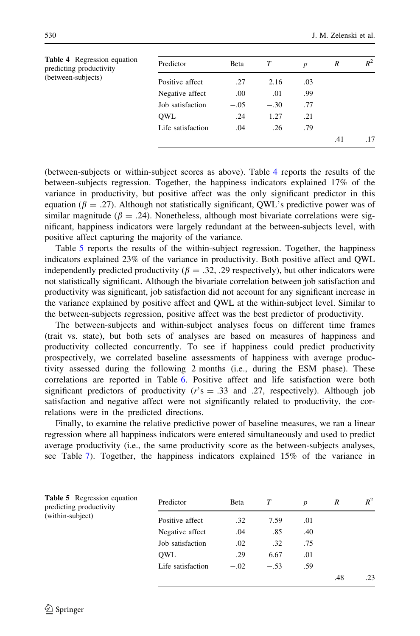| <b>Table 4</b> Regression equation<br>predicting productivity<br>(between-subjects) | Predictor         | Beta   | T      | p   | R   | $R^2$ |
|-------------------------------------------------------------------------------------|-------------------|--------|--------|-----|-----|-------|
|                                                                                     | Positive affect   | .27    | 2.16   | .03 |     |       |
|                                                                                     | Negative affect   | .00    | .01    | .99 |     |       |
|                                                                                     | Job satisfaction  | $-.05$ | $-.30$ | .77 |     |       |
|                                                                                     | OWL               | .24    | 1.27   | .21 |     |       |
|                                                                                     | Life satisfaction | .04    | .26    | .79 |     |       |
|                                                                                     |                   |        |        |     | .41 | .17   |

(between-subjects or within-subject scores as above). Table 4 reports the results of the between-subjects regression. Together, the happiness indicators explained 17% of the variance in productivity, but positive affect was the only significant predictor in this equation ( $\beta = .27$ ). Although not statistically significant, OWL's predictive power was of similar magnitude ( $\beta = .24$ ). Nonetheless, although most bivariate correlations were significant, happiness indicators were largely redundant at the between-subjects level, with positive affect capturing the majority of the variance.

Table 5 reports the results of the within-subject regression. Together, the happiness indicators explained 23% of the variance in productivity. Both positive affect and QWL independently predicted productivity ( $\beta = .32, .29$  respectively), but other indicators were not statistically significant. Although the bivariate correlation between job satisfaction and productivity was significant, job satisfaction did not account for any significant increase in the variance explained by positive affect and QWL at the within-subject level. Similar to the between-subjects regression, positive affect was the best predictor of productivity.

The between-subjects and within-subject analyses focus on different time frames (trait vs. state), but both sets of analyses are based on measures of happiness and productivity collected concurrently. To see if happiness could predict productivity prospectively, we correlated baseline assessments of happiness with average productivity assessed during the following 2 months (i.e., during the ESM phase). These correlations are reported in Table [6](#page-10-0). Positive affect and life satisfaction were both significant predictors of productivity  $(r<sup>s</sup> = .33$  and .27, respectively). Although job satisfaction and negative affect were not significantly related to productivity, the correlations were in the predicted directions.

Finally, to examine the relative predictive power of baseline measures, we ran a linear regression where all happiness indicators were entered simultaneously and used to predict average productivity (i.e., the same productivity score as the between-subjects analyses, see Table [7](#page-10-0)). Together, the happiness indicators explained 15% of the variance in

| <b>Table 5</b> Regression equation<br>predicting productivity<br>(within-subject) | Predictor         | <b>B</b> eta |        | p   | R   | $R^2$ |
|-----------------------------------------------------------------------------------|-------------------|--------------|--------|-----|-----|-------|
|                                                                                   | Positive affect   | .32          | 7.59   | .01 |     |       |
|                                                                                   | Negative affect   | .04          | .85    | .40 |     |       |
|                                                                                   | Job satisfaction  | .02          | .32    | .75 |     |       |
|                                                                                   | OWL               | .29          | 6.67   | .01 |     |       |
|                                                                                   | Life satisfaction | $-.02$       | $-.53$ | .59 |     |       |
|                                                                                   |                   |              |        |     | .48 | .23   |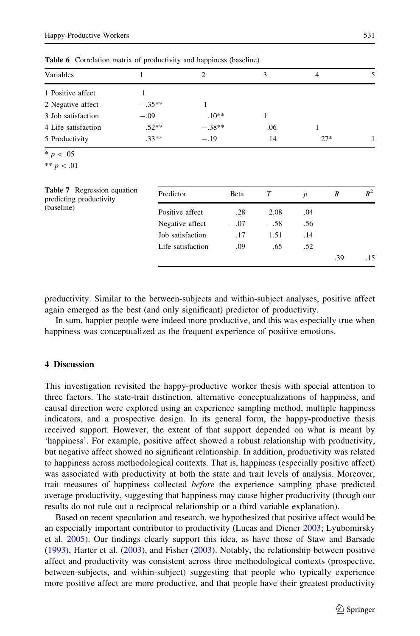|  |  | v<br>٠ |
|--|--|--------|
|  |  |        |

| Variables           |          |          |     | 4      |  |
|---------------------|----------|----------|-----|--------|--|
| 1 Positive affect   |          |          |     |        |  |
| 2 Negative affect   | $-.35**$ |          |     |        |  |
| 3 Job satisfaction  | $-.09$   | $.10**$  |     |        |  |
| 4 Life satisfaction | $.52**$  | $-.38**$ | .06 |        |  |
| 5 Productivity      | $.33**$  | $-.19$   | .14 | $.27*$ |  |

<span id="page-10-0"></span>Table 6 Correlation matrix of productivity and happiness (baseline)

 $* p < .05$ 

\*\*  $p < .01$ 

| <b>Table 7</b> Regression equation<br>predicting productivity<br>(baseline) | Predictor         | Beta   |        | $\boldsymbol{D}$ | R   | $R^2$ |
|-----------------------------------------------------------------------------|-------------------|--------|--------|------------------|-----|-------|
|                                                                             | Positive affect   | .28    | 2.08   | .04              |     |       |
|                                                                             | Negative affect   | $-.07$ | $-.58$ | .56              |     |       |
|                                                                             | Job satisfaction  | .17    | 1.51   | .14              |     |       |
|                                                                             | Life satisfaction | .09    | .65    | .52              |     |       |
|                                                                             |                   |        |        |                  | .39 | .15   |

productivity. Similar to the between-subjects and within-subject analyses, positive affect again emerged as the best (and only significant) predictor of productivity.

In sum, happier people were indeed more productive, and this was especially true when happiness was conceptualized as the frequent experience of positive emotions.

## 4 Discussion

This investigation revisited the happy-productive worker thesis with special attention to three factors. The state-trait distinction, alternative conceptualizations of happiness, and causal direction were explored using an experience sampling method, multiple happiness indicators, and a prospective design. In its general form, the happy-productive thesis received support. However, the extent of that support depended on what is meant by 'happiness'. For example, positive affect showed a robust relationship with productivity, but negative affect showed no significant relationship. In addition, productivity was related to happiness across methodological contexts. That is, happiness (especially positive affect) was associated with productivity at both the state and trait levels of analysis. Moreover, trait measures of happiness collected before the experience sampling phase predicted average productivity, suggesting that happiness may cause higher productivity (though our results do not rule out a reciprocal relationship or a third variable explanation).

Based on recent speculation and research, we hypothesized that positive affect would be an especially important contributor to productivity (Lucas and Diener [2003](#page-15-0); Lyubomirsky et al. [2005\)](#page-15-0). Our findings clearly support this idea, as have those of Staw and Barsade ([1993\)](#page-16-0), Harter et al. ([2003](#page-15-0)), and Fisher ([2003\)](#page-15-0). Notably, the relationship between positive affect and productivity was consistent across three methodological contexts (prospective, between-subjects, and within-subject) suggesting that people who typically experience more positive affect are more productive, and that people have their greatest productivity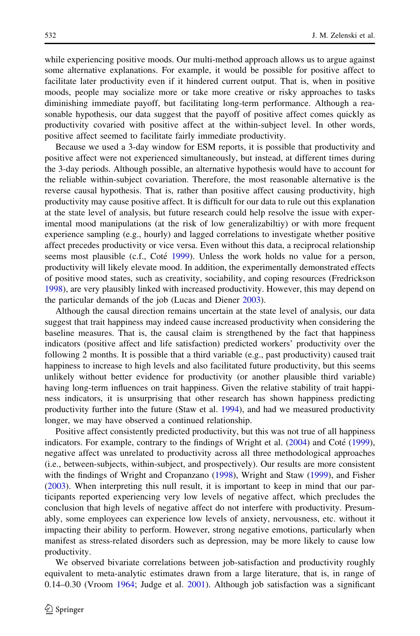while experiencing positive moods. Our multi-method approach allows us to argue against some alternative explanations. For example, it would be possible for positive affect to facilitate later productivity even if it hindered current output. That is, when in positive moods, people may socialize more or take more creative or risky approaches to tasks diminishing immediate payoff, but facilitating long-term performance. Although a reasonable hypothesis, our data suggest that the payoff of positive affect comes quickly as productivity covaried with positive affect at the within-subject level. In other words, positive affect seemed to facilitate fairly immediate productivity.

Because we used a 3-day window for ESM reports, it is possible that productivity and positive affect were not experienced simultaneously, but instead, at different times during the 3-day periods. Although possible, an alternative hypothesis would have to account for the reliable within-subject covariation. Therefore, the most reasonable alternative is the reverse causal hypothesis. That is, rather than positive affect causing productivity, high productivity may cause positive affect. It is difficult for our data to rule out this explanation at the state level of analysis, but future research could help resolve the issue with experimental mood manipulations (at the risk of low generalizabiltiy) or with more frequent experience sampling (e.g., hourly) and lagged correlations to investigate whether positive affect precedes productivity or vice versa. Even without this data, a reciprocal relationship seems most plausible (c.f., Coté [1999](#page-14-0)). Unless the work holds no value for a person, productivity will likely elevate mood. In addition, the experimentally demonstrated effects of positive mood states, such as creativity, sociability, and coping resources (Fredrickson [1998\)](#page-15-0), are very plausibly linked with increased productivity. However, this may depend on the particular demands of the job (Lucas and Diener [2003\)](#page-15-0).

Although the causal direction remains uncertain at the state level of analysis, our data suggest that trait happiness may indeed cause increased productivity when considering the baseline measures. That is, the causal claim is strengthened by the fact that happiness indicators (positive affect and life satisfaction) predicted workers' productivity over the following 2 months. It is possible that a third variable (e.g., past productivity) caused trait happiness to increase to high levels and also facilitated future productivity, but this seems unlikely without better evidence for productivity (or another plausible third variable) having long-term influences on trait happiness. Given the relative stability of trait happiness indicators, it is unsurprising that other research has shown happiness predicting productivity further into the future (Staw et al. [1994](#page-16-0)), and had we measured productivity longer, we may have observed a continued relationship.

Positive affect consistently predicted productivity, but this was not true of all happiness indicators. For example, contrary to the findings of Wright et al.  $(2004)$  $(2004)$  and Coté  $(1999)$  $(1999)$ , negative affect was unrelated to productivity across all three methodological approaches (i.e., between-subjects, within-subject, and prospectively). Our results are more consistent with the findings of Wright and Cropanzano ([1998\)](#page-16-0), Wright and Staw ([1999\)](#page-16-0), and Fisher ([2003\)](#page-15-0). When interpreting this null result, it is important to keep in mind that our participants reported experiencing very low levels of negative affect, which precludes the conclusion that high levels of negative affect do not interfere with productivity. Presumably, some employees can experience low levels of anxiety, nervousness, etc. without it impacting their ability to perform. However, strong negative emotions, particularly when manifest as stress-related disorders such as depression, may be more likely to cause low productivity.

We observed bivariate correlations between job-satisfaction and productivity roughly equivalent to meta-analytic estimates drawn from a large literature, that is, in range of 0.14–0.30 (Vroom [1964;](#page-16-0) Judge et al. [2001](#page-15-0)). Although job satisfaction was a significant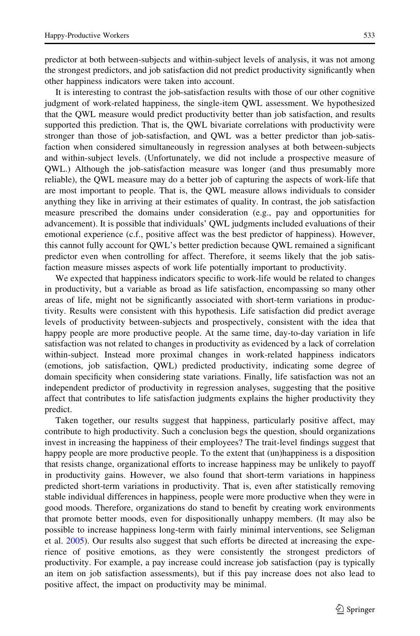predictor at both between-subjects and within-subject levels of analysis, it was not among the strongest predictors, and job satisfaction did not predict productivity significantly when other happiness indicators were taken into account.

It is interesting to contrast the job-satisfaction results with those of our other cognitive judgment of work-related happiness, the single-item QWL assessment. We hypothesized that the QWL measure would predict productivity better than job satisfaction, and results supported this prediction. That is, the QWL bivariate correlations with productivity were stronger than those of job-satisfaction, and QWL was a better predictor than job-satisfaction when considered simultaneously in regression analyses at both between-subjects and within-subject levels. (Unfortunately, we did not include a prospective measure of QWL.) Although the job-satisfaction measure was longer (and thus presumably more reliable), the QWL measure may do a better job of capturing the aspects of work-life that are most important to people. That is, the QWL measure allows individuals to consider anything they like in arriving at their estimates of quality. In contrast, the job satisfaction measure prescribed the domains under consideration (e.g., pay and opportunities for advancement). It is possible that individuals' QWL judgments included evaluations of their emotional experience (c.f., positive affect was the best predictor of happiness). However, this cannot fully account for QWL's better prediction because QWL remained a significant predictor even when controlling for affect. Therefore, it seems likely that the job satisfaction measure misses aspects of work life potentially important to productivity.

We expected that happiness indicators specific to work-life would be related to changes in productivity, but a variable as broad as life satisfaction, encompassing so many other areas of life, might not be significantly associated with short-term variations in productivity. Results were consistent with this hypothesis. Life satisfaction did predict average levels of productivity between-subjects and prospectively, consistent with the idea that happy people are more productive people. At the same time, day-to-day variation in life satisfaction was not related to changes in productivity as evidenced by a lack of correlation within-subject. Instead more proximal changes in work-related happiness indicators (emotions, job satisfaction, QWL) predicted productivity, indicating some degree of domain specificity when considering state variations. Finally, life satisfaction was not an independent predictor of productivity in regression analyses, suggesting that the positive affect that contributes to life satisfaction judgments explains the higher productivity they predict.

Taken together, our results suggest that happiness, particularly positive affect, may contribute to high productivity. Such a conclusion begs the question, should organizations invest in increasing the happiness of their employees? The trait-level findings suggest that happy people are more productive people. To the extent that (un)happiness is a disposition that resists change, organizational efforts to increase happiness may be unlikely to payoff in productivity gains. However, we also found that short-term variations in happiness predicted short-term variations in productivity. That is, even after statistically removing stable individual differences in happiness, people were more productive when they were in good moods. Therefore, organizations do stand to benefit by creating work environments that promote better moods, even for dispositionally unhappy members. (It may also be possible to increase happiness long-term with fairly minimal interventions, see Seligman et al. [2005](#page-16-0)). Our results also suggest that such efforts be directed at increasing the experience of positive emotions, as they were consistently the strongest predictors of productivity. For example, a pay increase could increase job satisfaction (pay is typically an item on job satisfaction assessments), but if this pay increase does not also lead to positive affect, the impact on productivity may be minimal.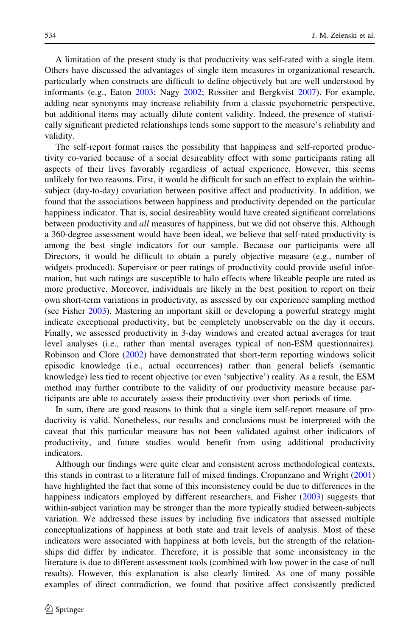A limitation of the present study is that productivity was self-rated with a single item. Others have discussed the advantages of single item measures in organizational research, particularly when constructs are difficult to define objectively but are well understood by informants (e.g., Eaton [2003;](#page-15-0) Nagy [2002](#page-16-0); Rossiter and Bergkvist [2007](#page-16-0)). For example, adding near synonyms may increase reliability from a classic psychometric perspective, but additional items may actually dilute content validity. Indeed, the presence of statistically significant predicted relationships lends some support to the measure's reliability and validity.

The self-report format raises the possibility that happiness and self-reported productivity co-varied because of a social desireablity effect with some participants rating all aspects of their lives favorably regardless of actual experience. However, this seems unlikely for two reasons. First, it would be difficult for such an effect to explain the withinsubject (day-to-day) covariation between positive affect and productivity. In addition, we found that the associations between happiness and productivity depended on the particular happiness indicator. That is, social desireablity would have created significant correlations between productivity and *all* measures of happiness, but we did not observe this. Although a 360-degree assessment would have been ideal, we believe that self-rated productivity is among the best single indicators for our sample. Because our participants were all Directors, it would be difficult to obtain a purely objective measure (e.g., number of widgets produced). Supervisor or peer ratings of productivity could provide useful information, but such ratings are susceptible to halo effects where likeable people are rated as more productive. Moreover, individuals are likely in the best position to report on their own short-term variations in productivity, as assessed by our experience sampling method (see Fisher [2003](#page-15-0)). Mastering an important skill or developing a powerful strategy might indicate exceptional productivity, but be completely unobservable on the day it occurs. Finally, we assessed productivity in 3-day windows and created actual averages for trait level analyses (i.e., rather than mental averages typical of non-ESM questionnaires). Robinson and Clore [\(2002](#page-16-0)) have demonstrated that short-term reporting windows solicit episodic knowledge (i.e., actual occurrences) rather than general beliefs (semantic knowledge) less tied to recent objective (or even 'subjective') reality. As a result, the ESM method may further contribute to the validity of our productivity measure because participants are able to accurately assess their productivity over short periods of time.

In sum, there are good reasons to think that a single item self-report measure of productivity is valid. Nonetheless, our results and conclusions must be interpreted with the caveat that this particular measure has not been validated against other indicators of productivity, and future studies would benefit from using additional productivity indicators.

Although our findings were quite clear and consistent across methodological contexts, this stands in contrast to a literature full of mixed findings. Cropanzano and Wright ([2001](#page-14-0)) have highlighted the fact that some of this inconsistency could be due to differences in the happiness indicators employed by different researchers, and Fisher ([2003\)](#page-15-0) suggests that within-subject variation may be stronger than the more typically studied between-subjects variation. We addressed these issues by including five indicators that assessed multiple conceptualizations of happiness at both state and trait levels of analysis. Most of these indicators were associated with happiness at both levels, but the strength of the relationships did differ by indicator. Therefore, it is possible that some inconsistency in the literature is due to different assessment tools (combined with low power in the case of null results). However, this explanation is also clearly limited. As one of many possible examples of direct contradiction, we found that positive affect consistently predicted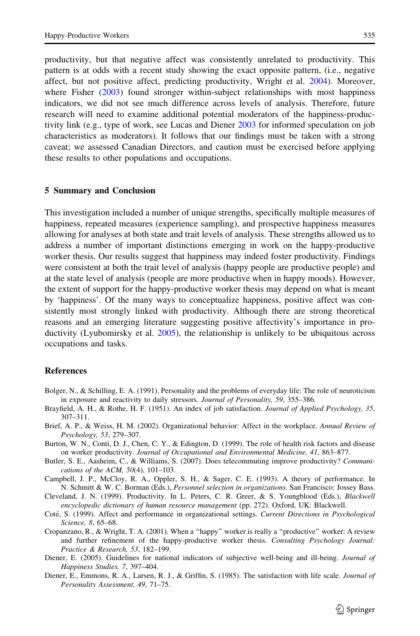<span id="page-14-0"></span>productivity, but that negative affect was consistently unrelated to productivity. This pattern is at odds with a recent study showing the exact opposite pattern, (i.e., negative affect, but not positive affect, predicting productivity, Wright et al. [2004\)](#page-16-0). Moreover, where Fisher  $(2003)$  $(2003)$  found stronger within-subject relationships with most happiness indicators, we did not see much difference across levels of analysis. Therefore, future research will need to examine additional potential moderators of the happiness-productivity link (e.g., type of work, see Lucas and Diener [2003](#page-15-0) for informed speculation on job characteristics as moderators). It follows that our findings must be taken with a strong caveat; we assessed Canadian Directors, and caution must be exercised before applying these results to other populations and occupations.

#### 5 Summary and Conclusion

This investigation included a number of unique strengths, specifically multiple measures of happiness, repeated measures (experience sampling), and prospective happiness measures allowing for analyses at both state and trait levels of analysis. These strengths allowed us to address a number of important distinctions emerging in work on the happy-productive worker thesis. Our results suggest that happiness may indeed foster productivity. Findings were consistent at both the trait level of analysis (happy people are productive people) and at the state level of analysis (people are more productive when in happy moods). However, the extent of support for the happy-productive worker thesis may depend on what is meant by 'happiness'. Of the many ways to conceptualize happiness, positive affect was consistently most strongly linked with productivity. Although there are strong theoretical reasons and an emerging literature suggesting positive affectivity's importance in productivity (Lyubomirsky et al. [2005\)](#page-15-0), the relationship is unlikely to be ubiquitous across occupations and tasks.

#### References

- Bolger, N., & Schilling, E. A. (1991). Personality and the problems of everyday life: The role of neuroticism in exposure and reactivity to daily stressors. Journal of Personality, 59, 355–386.
- Brayfield, A. H., & Rothe, H. F. (1951). An index of job satisfaction. Journal of Applied Psychology, 35, 307–311.
- Brief, A. P., & Weiss, H. M. (2002). Organizational behavior: Affect in the workplace. Annual Review of Psychology, 53, 279–307.
- Burton, W. N., Conti, D. J., Chen, C. Y., & Edington, D. (1999). The role of health risk factors and disease on worker productivity. Journal of Occupational and Environmental Medicine, 41, 863–877.
- Butler, S. E., Aasheim, C., & Williams, S. (2007). Does telecommuting improve productivity? Communications of the ACM, 50(4), 101–103.
- Campbell, J. P., McCloy, R. A., Oppler, S. H., & Sager, C. E. (1993). A theory of performance. In N. Schmitt & W. C. Borman (Eds.), Personnel selection in organizations. San Francisco: Jossey Bass.
- Cleveland, J. N. (1999). Productivity. In L. Peters, C. R. Greer, & S. Youngblood (Eds.), Blackwell encyclopedic dictionary of human resource management (pp. 272). Oxford, UK: Blackwell.
- Coté, S. (1999). Affect and performance in organizational settings. Current Directions in Psychological Science, 8, 65–68.
- Cropanzano, R., & Wright, T. A. (2001). When a ''happy'' worker is really a ''productive'' worker: A review and further refinement of the happy-productive worker thesis. Consulting Psychology Journal: Practice & Research, 53, 182–199.
- Diener, E. (2005). Guidelines for national indicators of subjective well-being and ill-being. Journal of Happiness Studies, 7, 397–404.
- Diener, E., Emmons, R. A., Larsen, R. J., & Griffin, S. (1985). The satisfaction with life scale. Journal of Personality Assessment, 49, 71–75.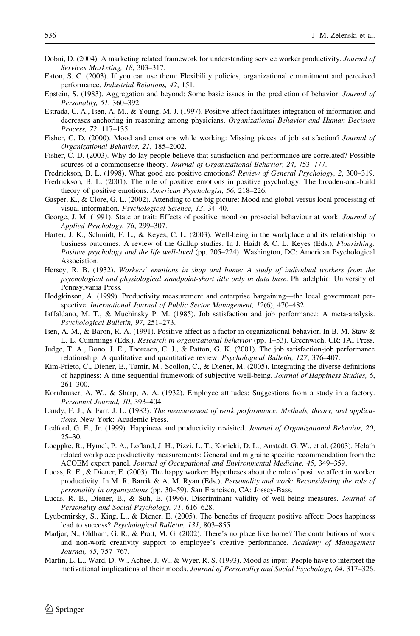- <span id="page-15-0"></span>Dobni, D. (2004). A marketing related framework for understanding service worker productivity. Journal of Services Marketing, 18, 303–317.
- Eaton, S. C. (2003). If you can use them: Flexibility policies, organizational commitment and perceived performance. Industrial Relations, 42, 151.
- Epstein, S. (1983). Aggregation and beyond: Some basic issues in the prediction of behavior. Journal of Personality, 51, 360–392.
- Estrada, C. A., Isen, A. M., & Young, M. J. (1997). Positive affect facilitates integration of information and decreases anchoring in reasoning among physicians. Organizational Behavior and Human Decision Process, 72, 117–135.
- Fisher, C. D. (2000). Mood and emotions while working: Missing pieces of job satisfaction? Journal of Organizational Behavior, 21, 185–2002.
- Fisher, C. D. (2003). Why do lay people believe that satisfaction and performance are correlated? Possible sources of a commonsense theory. Journal of Organizational Behavior, 24, 753-777.
- Fredrickson, B. L. (1998). What good are positive emotions? Review of General Psychology, 2, 300–319.
- Fredrickson, B. L. (2001). The role of positive emotions in positive psychology: The broaden-and-build theory of positive emotions. American Psychologist, 56, 218–226.
- Gasper, K., & Clore, G. L. (2002). Attending to the big picture: Mood and global versus local processing of visual information. Psychological Science, 13, 34–40.
- George, J. M. (1991). State or trait: Effects of positive mood on prosocial behaviour at work. *Journal of* Applied Psychology, 76, 299–307.
- Harter, J. K., Schmidt, F. L., & Keyes, C. L. (2003). Well-being in the workplace and its relationship to business outcomes: A review of the Gallup studies. In J. Haidt & C. L. Keyes (Eds.), Flourishing: Positive psychology and the life well-lived (pp. 205–224). Washington, DC: American Psychological Association.
- Hersey, R. B. (1932). Workers' emotions in shop and home: A study of individual workers from the psychological and physiological standpoint-short title only in data base. Philadelphia: University of Pennsylvania Press.
- Hodgkinson, A. (1999). Productivity measurement and enterprise bargaining—the local government perspective. International Journal of Public Sector Management, 12(6), 470–482.
- Iaffaldano, M. T., & Muchinsky P. M. (1985). Job satisfaction and job performance: A meta-analysis. Psychological Bulletin, 97, 251–273.
- Isen, A. M., & Baron, R. A. (1991). Positive affect as a factor in organizational-behavior. In B. M. Staw & L. L. Cummings (Eds.), Research in organizational behavior (pp. 1–53). Greenwich, CR: JAI Press.
- Judge, T. A., Bono, J. E., Thoresen, C. J., & Patton, G. K. (2001). The job satisfaction-job performance relationship: A qualitative and quantitative review. Psychological Bulletin, 127, 376–407.
- Kim-Prieto, C., Diener, E., Tamir, M., Scollon, C., & Diener, M. (2005). Integrating the diverse definitions of happiness: A time sequential framework of subjective well-being. Journal of Happiness Studies, 6, 261–300.
- Kornhauser, A. W., & Sharp, A. A. (1932). Employee attitudes: Suggestions from a study in a factory. Personnel Journal, 10, 393–404.
- Landy, F. J., & Farr, J. L. (1983). The measurement of work performance: Methods, theory, and applications. New York: Academic Press.
- Ledford, G. E., Jr. (1999). Happiness and productivity revisited. Journal of Organizational Behavior, 20,  $25 - 30.$
- Loeppke, R., Hymel, P. A., Lofland, J. H., Pizzi, L. T., Konicki, D. L., Anstadt, G. W., et al. (2003). Helath related workplace productivity measurements: General and migraine specific recommendation from the ACOEM expert panel. Journal of Occupational and Environmental Medicine, 45, 349–359.
- Lucas, R. E., & Diener, E. (2003). The happy worker: Hypotheses about the role of positive affect in worker productivity. In M. R. Barrik & A. M. Ryan (Eds.), Personality and work: Reconsidering the role of personality in organizations (pp. 30–59). San Francisco, CA: Jossey-Bass.
- Lucas, R. E., Diener, E., & Suh, E. (1996). Discriminant validity of well-being measures. Journal of Personality and Social Psychology, 71, 616–628.
- Lyubomirsky, S., King, L., & Diener, E. (2005). The benefits of frequent positive affect: Does happiness lead to success? Psychological Bulletin, 131, 803–855.
- Madjar, N., Oldham, G. R., & Pratt, M. G. (2002). There's no place like home? The contributions of work and non-work creativity support to employee's creative performance. Academy of Management Journal, 45, 757–767.
- Martin, L. L., Ward, D. W., Achee, J. W., & Wyer, R. S. (1993). Mood as input: People have to interpret the motivational implications of their moods. Journal of Personality and Social Psychology, 64, 317–326.